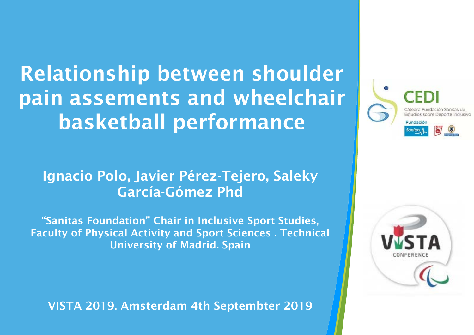Relationship between shoulder pain assements and wheelchair basketball performance

#### Ignacio Polo, Javier Pérez-Tejero, Saleky García-Gómez Phd

"Sanitas Foundation" Chair in Inclusive Sport Studies, Faculty of Physical Activity and Sport Sciences . Technical University of Madrid. Spain

VISTA 2019. Amsterdam 4th Septembter 2019



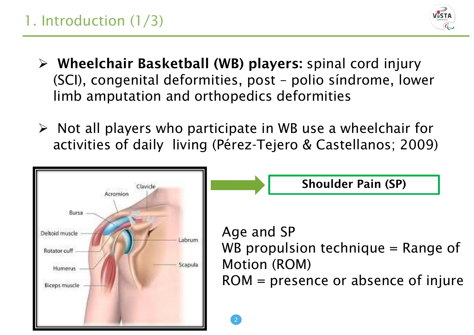#### 1. Introduction (1/3)



- $\triangleright$  Wheelchair Basketball (WB) players: spinal cord injury (SCI), congenital deformities, post – polio síndrome, lower limb amputation and orthopedics deformities
- $\triangleright$  Not all players who participate in WB use a wheelchair for activities of daily living (Pérez-Tejero & Castellanos; 2009)

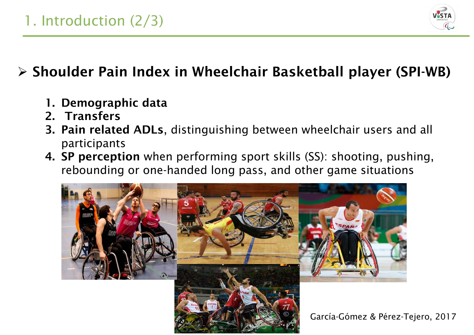

#### Shoulder Pain Index in Wheelchair Basketball player (SPI-WB)

- 1. Demographic data
- 2. Transfers
- 3. Pain related ADLs, distinguishing between wheelchair users and all participants
- 4. SP perception when performing sport skills (SS): shooting, pushing, rebounding or one-handed long pass, and other game situations

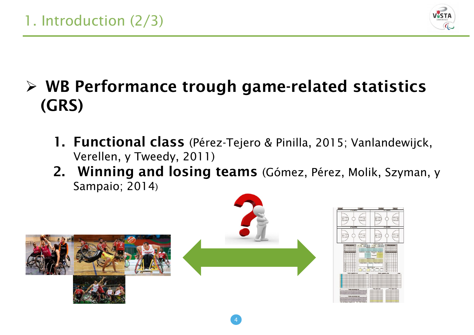

## $\triangleright$  WB Performance trough game-related statistics (GRS)

- 1. Functional class (Pérez-Tejero & Pinilla, 2015; Vanlandewijck, Verellen, y Tweedy, 2011)
- 2. Winning and losing teams (Gómez, Pérez, Molik, Szyman, y Sampaio; 2014)

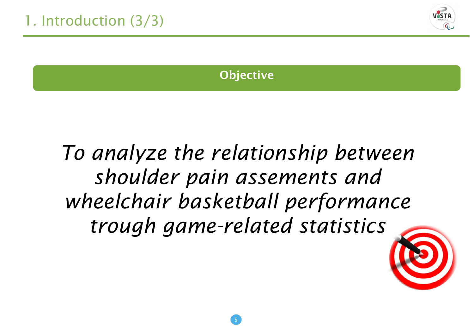

#### **Objective**

## *To analyze the relationship between shoulder pain assements and wheelchair basketball performance trough game-related statistics*

5

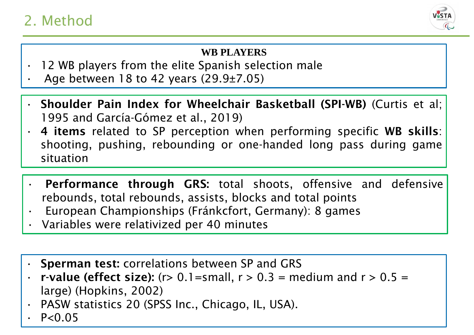#### 2. Method



#### **WB PLAYERS**

- 12 WB players from the elite Spanish selection male
- Age between 18 to 42 years  $(29.9\pm7.05)$
- Shoulder Pain Index for Wheelchair Basketball (SPI-WB) (Curtis et al; 1995 and García-Gómez et al., 2019)
- 4 items related to SP perception when performing specific WB skills: shooting, pushing, rebounding or one-handed long pass during game situation
- Performance through GRS: total shoots, offensive and defensive rebounds, total rebounds, assists, blocks and total points
- European Championships (Fránkcfort, Germany): 8 games
- Variables were relativized per 40 minutes
- **Sperman test: correlations between SP and GRS**
- **r-value (effect size):** (r> 0.1=small,  $r > 0.3$  = medium and  $r > 0.5$  = large) (Hopkins, 2002)
- PASW statistics 20 (SPSS Inc., Chicago, IL, USA).
- $P < 0.05$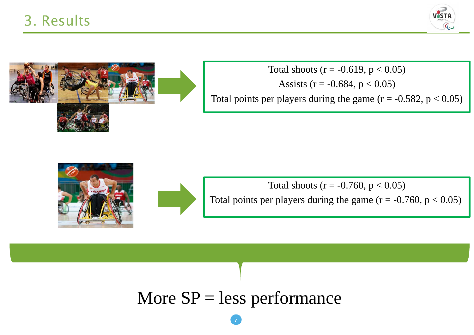



Total shoots ( $r = -0.619$ ,  $p < 0.05$ ) Assists ( $r = -0.684$ ,  $p < 0.05$ ) Total points per players during the game  $(r = -0.582, p < 0.05)$ 





Total shoots ( $r = -0.760$ ,  $p < 0.05$ ) Total points per players during the game  $(r = -0.760, p < 0.05)$ 

#### More  $SP =$  less performance

7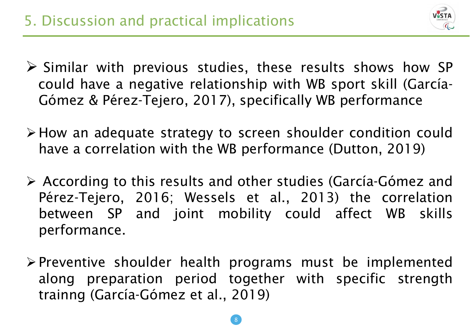

- $\triangleright$  Similar with previous studies, these results shows how SP could have a negative relationship with WB sport skill (García-Gómez & Pérez-Tejero, 2017), specifically WB performance
- How an adequate strategy to screen shoulder condition could have a correlation with the WB performance (Dutton, 2019)
- According to this results and other studies (García-Gómez and Pérez-Tejero, 2016; Wessels et al., 2013) the correlation between SP and joint mobility could affect WB skills performance.
- $\triangleright$  Preventive shoulder health programs must be implemented along preparation period together with specific strength trainng (García-Gómez et al., 2019)

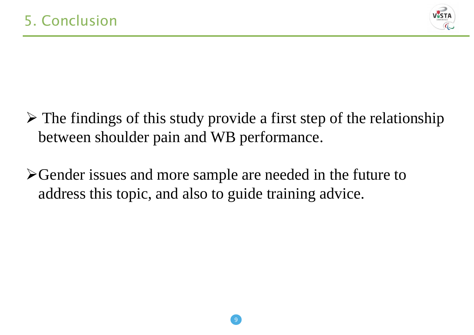

- $\triangleright$  The findings of this study provide a first step of the relationship between shoulder pain and WB performance.
- Gender issues and more sample are needed in the future to 1address this topic, and also to guide training advice.